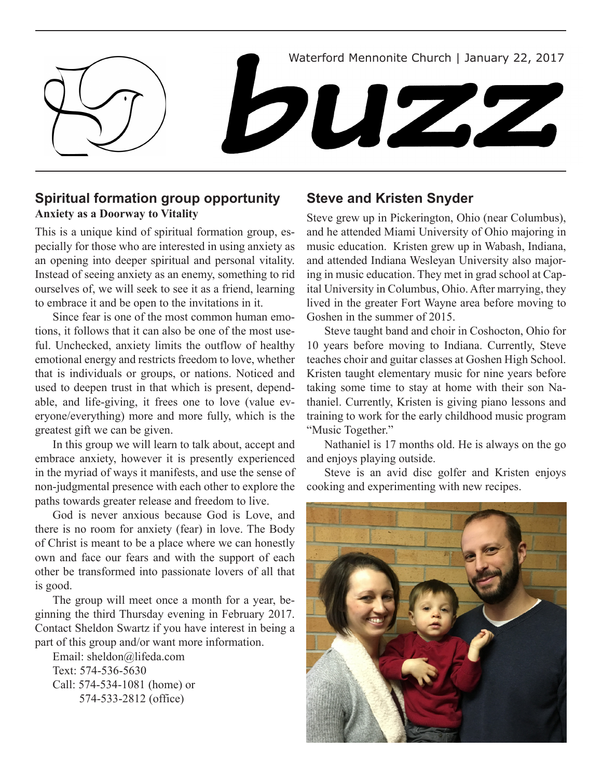

## **Spiritual formation group opportunity Anxiety as a Doorway to Vitality**

This is a unique kind of spiritual formation group, especially for those who are interested in using anxiety as an opening into deeper spiritual and personal vitality. Instead of seeing anxiety as an enemy, something to rid ourselves of, we will seek to see it as a friend, learning to embrace it and be open to the invitations in it.

Since fear is one of the most common human emotions, it follows that it can also be one of the most useful. Unchecked, anxiety limits the outflow of healthy emotional energy and restricts freedom to love, whether that is individuals or groups, or nations. Noticed and used to deepen trust in that which is present, dependable, and life-giving, it frees one to love (value everyone/everything) more and more fully, which is the greatest gift we can be given.

In this group we will learn to talk about, accept and embrace anxiety, however it is presently experienced in the myriad of ways it manifests, and use the sense of non-judgmental presence with each other to explore the paths towards greater release and freedom to live.

God is never anxious because God is Love, and there is no room for anxiety (fear) in love. The Body of Christ is meant to be a place where we can honestly own and face our fears and with the support of each other be transformed into passionate lovers of all that is good.

The group will meet once a month for a year, beginning the third Thursday evening in February 2017. Contact Sheldon Swartz if you have interest in being a part of this group and/or want more information.

Email: sheldon@lifeda.com Text: 574-536-5630 Call: 574-534-1081 (home) or 574-533-2812 (office)

## **Steve and Kristen Snyder**

Steve grew up in Pickerington, Ohio (near Columbus), and he attended Miami University of Ohio majoring in music education. Kristen grew up in Wabash, Indiana, and attended Indiana Wesleyan University also majoring in music education. They met in grad school at Capital University in Columbus, Ohio. After marrying, they lived in the greater Fort Wayne area before moving to Goshen in the summer of 2015.

Steve taught band and choir in Coshocton, Ohio for 10 years before moving to Indiana. Currently, Steve teaches choir and guitar classes at Goshen High School. Kristen taught elementary music for nine years before taking some time to stay at home with their son Nathaniel. Currently, Kristen is giving piano lessons and training to work for the early childhood music program "Music Together."

Nathaniel is 17 months old. He is always on the go and enjoys playing outside.

Steve is an avid disc golfer and Kristen enjoys cooking and experimenting with new recipes.